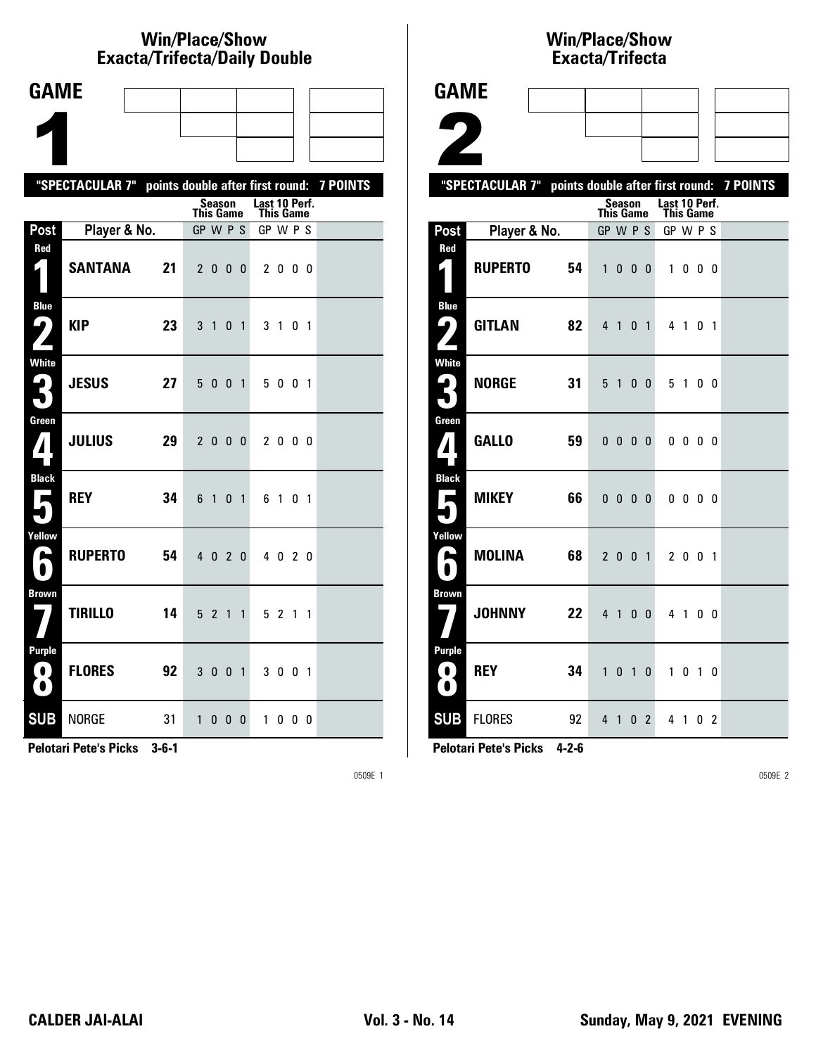# **Win/Place/Show Exacta/Trifecta/Daily Double**

| <b>GAME</b>              |                                                           |    |                              |                |                   |                |               |           |    |                          |  |
|--------------------------|-----------------------------------------------------------|----|------------------------------|----------------|-------------------|----------------|---------------|-----------|----|--------------------------|--|
|                          |                                                           |    |                              |                |                   |                |               |           |    |                          |  |
|                          |                                                           |    |                              |                |                   |                |               |           |    |                          |  |
|                          | "SPECTACULAR 7" points double after first round: 7 POINTS |    |                              |                |                   |                |               |           |    |                          |  |
|                          |                                                           |    |                              | <b>Season</b>  |                   |                | Last 10 Perf. |           |    |                          |  |
| Post                     | Player & No.                                              |    | <b>This Game</b><br>GP W P S |                |                   |                | GP W P S      | This Game |    |                          |  |
| Red<br>$\mathbf{z}$      | <b>SANTANA</b>                                            | 21 | $\mathbf{2}$                 |                | $0\quad 0\quad 0$ |                |               | 2000      |    |                          |  |
| <b>Blue</b><br>ر ما      | <b>KIP</b>                                                | 23 | 3                            | $\overline{1}$ |                   | 0 <sub>1</sub> | 3             | 1 0 1     |    |                          |  |
| <b>White</b><br>P.<br>L  | <b>JESUS</b>                                              | 27 | 5                            | $\mathbf{0}$   | 0                 | $\mathbf{1}$   |               | 500       |    | $\overline{\phantom{0}}$ |  |
| Green                    | <b>JULIUS</b>                                             | 29 |                              | 2 0 0 0        |                   |                |               | 2000      |    |                          |  |
| <b>Black</b><br>п        | <b>REY</b>                                                | 34 | 6                            | 1              |                   | 0 <sub>1</sub> |               | 6101      |    |                          |  |
| Yellow<br>A              | <b>RUPERTO</b>                                            | 54 | $\overline{4}$               | $\mathbf{0}$   |                   | 20             |               | 40        | 20 |                          |  |
| <b>Brown</b>             | <b>TIRILLO</b>                                            | 14 | 5                            | 2              | 1                 | $\mathbf{1}$   |               | 5 2 1 1   |    |                          |  |
| Purple<br>O<br>$\bullet$ | <b>FLORES</b>                                             | 92 | 3                            | $\mathbf{0}$   | $\bf{0}$          | $\overline{1}$ |               | 300       |    | $\overline{1}$           |  |
| <b>SUB</b>               | <b>NORGE</b>                                              | 31 |                              | 1000           |                   |                |               | 1000      |    |                          |  |

**Pelotari Pete's Picks 3-6-1**

0509E 1

### **Win/Place/Show Exacta/Tri fecta**

| <b>GAME</b>                                       |                                                           |         |                  |                          |                   |   |                                          |                          |  |  |
|---------------------------------------------------|-----------------------------------------------------------|---------|------------------|--------------------------|-------------------|---|------------------------------------------|--------------------------|--|--|
|                                                   |                                                           |         |                  |                          |                   |   |                                          |                          |  |  |
| Z                                                 |                                                           |         |                  |                          |                   |   |                                          |                          |  |  |
|                                                   | "SPECTACULAR 7" points double after first round: 7 POINTS |         |                  |                          |                   |   |                                          |                          |  |  |
|                                                   |                                                           |         | <b>This Game</b> |                          |                   |   | Season Last 10 Perf.<br><b>This Game</b> |                          |  |  |
| Post                                              | Player & No.                                              |         | GP W P S         |                          |                   |   | GP W P S                                 |                          |  |  |
| Red<br>1                                          | <b>RUPERTO</b>                                            | 54      | 1                |                          | $0\quad 0\quad 0$ |   |                                          | 1000                     |  |  |
| <b>Blue</b><br>4,                                 | <b>GITLAN</b>                                             | 82      |                  | 4 1 0 1                  |                   |   |                                          | 4 1 0 1                  |  |  |
| <b>White</b>                                      | <b>NORGE</b>                                              | 31      |                  | 5 1 0 0                  |                   |   |                                          | 5 1 0 0                  |  |  |
| Green<br>$\boldsymbol{I}$                         | <b>GALLO</b>                                              | 59      |                  | $0\ 0\ 0\ 0$             |                   |   |                                          | $0\quad 0\quad 0\quad 0$ |  |  |
| <b>Black</b><br>$\mathbf{r}$                      | <b>MIKEY</b>                                              | 66      |                  | $0\quad 0\quad 0\quad 0$ |                   |   |                                          | $0\ 0\ 0\ 0$             |  |  |
| Yellow<br>$\blacktriangleright$<br>$\blacksquare$ | <b>MOLINA</b>                                             | 68      |                  | 2 0 0 1                  |                   |   |                                          | 2 0 0 1                  |  |  |
| <b>Brown</b>                                      | <b>JOHNNY</b>                                             | $22 \,$ |                  | 4 1 0 0                  |                   |   |                                          | 4 1 0 0                  |  |  |
| Purple<br>0.<br>$\bullet$                         | <b>REY</b>                                                | 34      | $\mathbf{1}$     |                          | 0 <sub>1</sub>    | 0 |                                          | 1 0 1 0                  |  |  |
| <b>SUB</b>                                        | <b>FLORES</b>                                             | 92      |                  | 4 1 0 2                  |                   |   |                                          | 4 1 0 2                  |  |  |

**Pelotari Pete's Picks 4-2-6**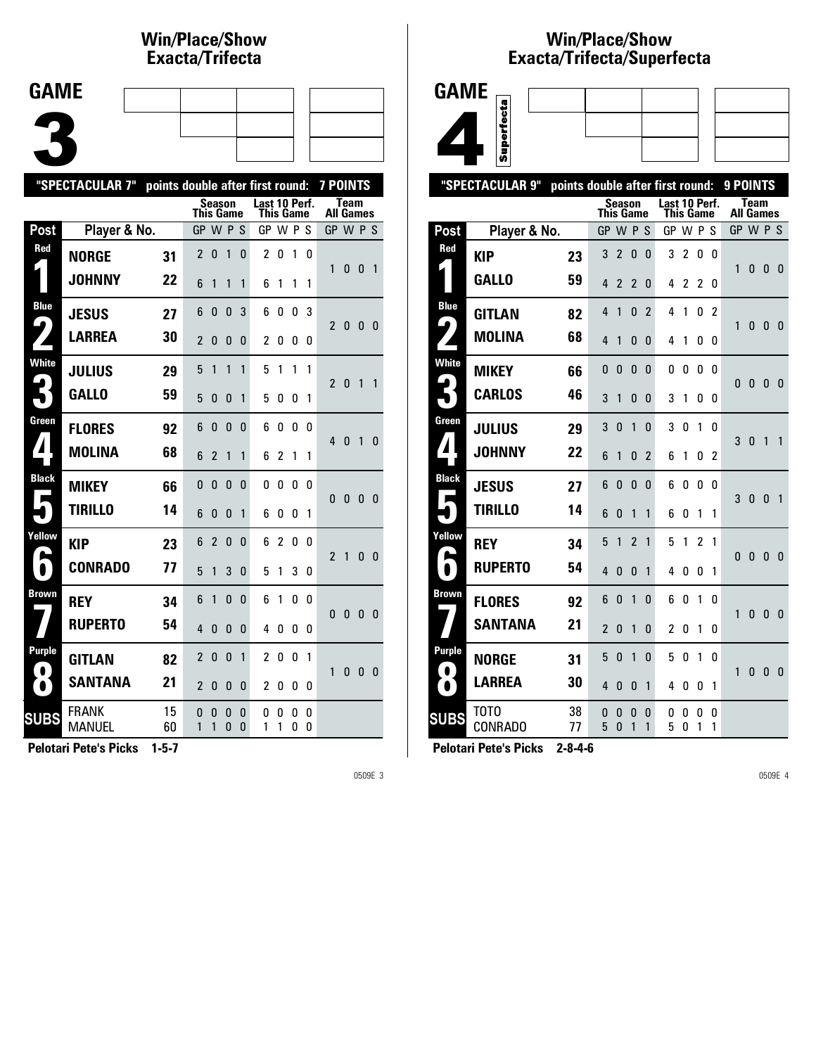### **Win/Place/Show Exacta/Tri fecta**

| <b>GAME</b> |  |  |  |
|-------------|--|--|--|
|             |  |  |  |
|             |  |  |  |
|             |  |  |  |

|                            | "SPECTACULAR 7"        | points double after first round: |                  |                |                   |                   |                                   |                |        | 7 POINTS |                  |              |   |                |
|----------------------------|------------------------|----------------------------------|------------------|----------------|-------------------|-------------------|-----------------------------------|----------------|--------|----------|------------------|--------------|---|----------------|
|                            |                        |                                  | <b>This Game</b> |                | Season            |                   | Last 10 Perf.<br><b>This Game</b> |                |        |          | <b>All Games</b> | <b>Team</b>  |   |                |
| Post                       | Player & No.           |                                  | GP W P S         |                |                   |                   | GP W P S                          |                |        |          | GP W P S         |              |   |                |
| Red                        | <b>NORGE</b>           | 31                               | $\overline{c}$   | 0              | 1                 | 0                 | 2                                 | 0              | 1      | 0        | 1                | 0            | 0 | $\overline{1}$ |
|                            | <b>JOHNNY</b>          | 22                               | 6                | 1              | 1                 | 1                 | 6                                 | 1              | 1      | 1        |                  |              |   |                |
| <b>Blue</b><br>9           | <b>JESUS</b>           | 27                               | 6                | 0              | 0                 | 3                 | 6                                 | 0              | 0      | 3        | $\overline{2}$   | 0            | 0 | - 0            |
|                            | <b>LARREA</b>          | 30                               | $\overline{2}$   | 0              | 0                 | 0                 | 2                                 | 0              | 0      | 0        |                  |              |   |                |
| <b>White</b>               | <b>JULIUS</b>          | 29                               | 5                | 1              | $\mathbf{1}$      | 1                 | 5                                 | 1              | 1      | 1        | $\overline{2}$   | 0            | 1 | 1              |
|                            | <b>GALLO</b>           | 59                               | 5                | 0              | $\Omega$          | 1                 | 5                                 | 0              | 0      | 1        |                  |              |   |                |
| Green                      | <b>FLORES</b>          | 92                               | 6                | 0              | $\Omega$          | $\Omega$          | 6                                 | 0              | 0      | $\Omega$ | 4                | $\mathbf{0}$ | 1 | $\mathbf{0}$   |
| $\blacktriangle$           | <b>MOLINA</b>          | 68                               | 6                | $\overline{2}$ | 1                 | 1                 | 6                                 | $\overline{c}$ | 1      | 1        |                  |              |   |                |
| <b>Black</b><br>Е          | <b>MIKEY</b>           | 66                               | 0                | 0              | 0                 | 0                 | 0                                 | 0              | 0      | 0        | 0                | 0            | 0 | 0              |
|                            | <b>TIRILLO</b>         | 14                               | 6                | 0              | 0                 | 1                 | 6                                 | 0              | 0      | 1        |                  |              |   |                |
| Yellow<br>ß,               | <b>KIP</b>             | 23                               | 6                | $\mathfrak{p}$ | 0                 | 0                 | 6                                 | 2              | 0      | 0        | $\overline{2}$   | $\mathbf{1}$ | 0 | $\mathbf{0}$   |
| $\bullet$                  | <b>CONRADO</b>         | 77                               | 5                | 1              | 3                 | $\Omega$          | 5                                 | 1              | 3      | 0        |                  |              |   |                |
| <b>Brown</b>               | <b>REY</b>             | 34                               | 6                | 1              | 0                 | 0                 | 6                                 | 1              | 0      | 0        | 0                | 0            | 0 | 0              |
|                            | <b>RUPERTO</b>         | 54                               | $\overline{4}$   | 0              | 0                 | 0                 | 4                                 | 0              | 0      | 0        |                  |              |   |                |
| <b>Purple</b><br>$\bullet$ | <b>GITLAN</b>          | 82                               | 2                | 0              | 0                 | 1                 | 2                                 | 0              | 0      | 1        | 1                | 0            | 0 | 0              |
| $\bullet$                  | <b>SANTANA</b>         | 21                               | $\overline{2}$   | 0              | 0                 | 0                 | 2                                 | 0              | 0      | 0        |                  |              |   |                |
| <b>SUBS</b>                | FRANK<br><b>MANUEL</b> | 15<br>60                         | 0<br>1           | 0<br>1         | 0<br>$\mathbf{0}$ | 0<br>$\mathbf{0}$ | 0<br>1                            | 0<br>1         | 0<br>0 | 0<br>0   |                  |              |   |                |
|                            |                        |                                  |                  |                |                   |                   |                                   |                |        |          |                  |              |   |                |

**Pelotari Pete's Picks 1-5-7**

0509E 3

#### **Win/Place/Show Exacta/Tri fecta/Super fecta**



|                        | "SPECTACULAR 9"        |          | points double after first round: |                |                |                |                            |        |                |               | 9 POINTS |                                 |              |              |
|------------------------|------------------------|----------|----------------------------------|----------------|----------------|----------------|----------------------------|--------|----------------|---------------|----------|---------------------------------|--------------|--------------|
|                        |                        |          | <b>This Game</b>                 | Season         |                |                | Last 10 Perf.<br>This Game |        |                |               |          | <b>Team</b><br><b>All Games</b> |              |              |
| Post                   | Player & No.           |          | GP                               |                | WPS            |                | GP W P                     |        |                | -S            |          | GP W P S                        |              |              |
| Red                    | <b>KIP</b>             | 23       | 3                                | $\overline{2}$ | 0              | 0              | 3                          | 2      | 0              | 0             |          |                                 |              |              |
|                        | <b>GALLO</b>           | 59       | 4                                | $\overline{2}$ | $\overline{2}$ | 0              | 4                          | 2      | $\overline{c}$ | 0             | 1        | 0                               | 0            | 0            |
| <b>Blue</b>            | <b>GITLAN</b>          | 82       | 4                                | 1              | 0              | $\overline{2}$ | 4                          | 1      | 0              | $\mathfrak z$ |          |                                 |              |              |
| 4                      | <b>MOLINA</b>          | 68       | 4                                | 1              | 0              | 0              | 4                          | 1      | 0              | 0             | 1        | 0                               | 0            | 0            |
| <b>White</b>           | <b>MIKEY</b>           | 66       | 0                                | 0              | $\Omega$       | 0              | 0                          | 0      | 0              | 0             |          |                                 |              |              |
|                        | <b>CARLOS</b>          | 46       | 3                                | 1              | 0              | 0              | 3                          | 1      | 0              | 0             | 0        | 0                               | 0            | 0            |
| Green                  | <b>JULIUS</b>          | 29       | 3                                | 0              | 1              | $\mathbf{0}$   | 3                          | 0      | 1              | 0             | 3        | 0                               | 1            | 1            |
| 4                      | <b>JOHNNY</b>          | 22       | 6                                | 1              | 0              | $\overline{2}$ | 6                          | 1      | 0              | 2             |          |                                 |              |              |
| <b>Black</b><br>Е      | <b>JESUS</b>           | 27       | 6                                | 0              | $\Omega$       | 0              | 6                          | 0      | 0              | 0             | 3        | 0                               | 0            | $\mathbf{1}$ |
|                        | <b>TIRILLO</b>         | 14       | 6                                | 0              | 1              | 1              | 6                          | 0      | 1              | 1             |          |                                 |              |              |
| Yellow                 | <b>REY</b>             | 34       | 5                                | 1              | 2              | 1              | 5                          | 1      | $\mathfrak z$  | 1             |          |                                 |              |              |
| ۱                      | <b>RUPERTO</b>         | 54       | 4                                | 0              | 0              | 1              | 4                          | 0      | 0              | 1             | 0        | $\mathbf{0}$                    | $\mathbf{0}$ | $\mathbf{0}$ |
| Brown                  | <b>FLORES</b>          | 92       | 6                                | 0              | 1              | $\mathbf{0}$   | 6                          | 0      | 1              | 0             | 1        | 0                               | 0            | $\mathbf{0}$ |
|                        | <b>SANTANA</b>         | 21       | $\overline{2}$                   | 0              | 1              | 0              | $\overline{2}$             | 0      | 1              | 0             |          |                                 |              |              |
| <b>Purple</b>          | <b>NORGE</b>           | 31       | 5                                | 0              | 1              | $\mathbf{0}$   | 5                          | 0      | 1              | 0             |          |                                 |              |              |
| $\bullet$<br>$\bullet$ | <b>LARREA</b>          | 30       | 4                                | 0              | 0              | 1              | 4                          | 0      | 0              | 1             | 1        | 0                               | $\mathbf{0}$ | $\Omega$     |
| <b>SUBS</b>            | тото<br><b>CONRADO</b> | 38<br>77 | 0<br>5                           | 0<br>0         | 0<br>1         | 0<br>1         | 0<br>5                     | 0<br>0 | 0<br>1         | 0<br>1        |          |                                 |              |              |
|                        |                        |          |                                  |                |                |                |                            |        |                |               |          |                                 |              |              |

**Pelotari Pete's Picks 2-8-4-6**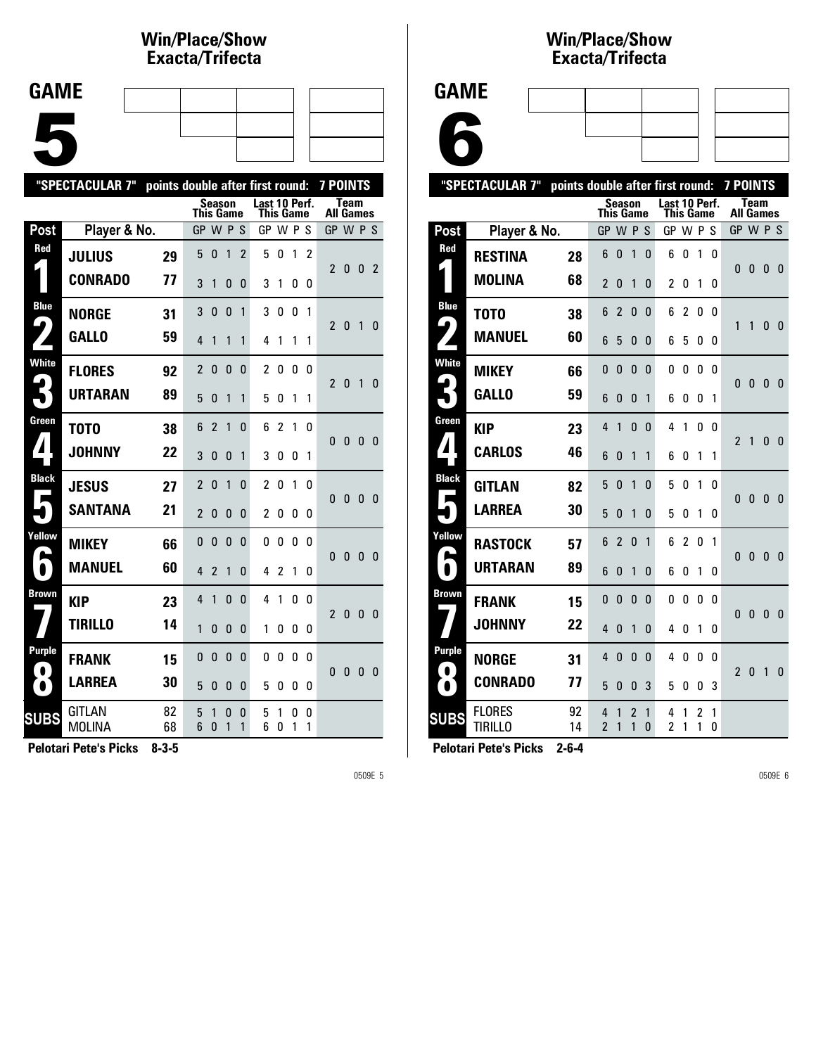### **Win/Place/Show Exacta/Tri fecta**

| <b>GAME</b> |     |   |  |
|-------------|-----|---|--|
|             |     |   |  |
|             |     |   |  |
|             |     |   |  |
|             |     |   |  |
|             | . . | - |  |

| <b>Team</b><br>Last 10 Perf.<br>Season<br><b>This Game</b><br>This Game<br><b>All Games</b><br>Player & No.<br>Post<br>GP W P S<br>GP W P S<br>GP W P S<br>Red<br>5<br>$\overline{c}$<br>5<br>0<br>1<br>$\overline{2}$<br>0<br>1<br><b>JULIUS</b><br>29<br>$\overline{2}$<br>$\overline{2}$<br>0<br>$\mathbf{0}$<br><b>CONRADO</b><br>77<br>3<br>1<br>3<br>0<br>0<br>1<br>0<br>0<br><b>Blue</b><br>3<br>3<br>$\mathbf{0}$<br>$\mathbf{0}$<br>0<br>0<br>1<br>1<br><b>NORGE</b><br>31<br>4<br>$\overline{2}$<br>0<br>1<br>0<br><b>GALLO</b><br>59<br>4<br>4<br>1<br>1<br>1<br>1<br>1<br>1<br><b>White</b><br>2<br>2<br>0<br>0<br>0<br>0<br>0<br>0<br><b>FLORES</b><br>92<br>$\overline{2}$<br>$\mathbf{0}$<br>1<br>$\Omega$<br><b>URTARAN</b><br>89<br>5<br>$\Omega$<br>1<br>1<br>5<br>0<br>1<br>1<br>Green<br>$\overline{\phantom{a}}$<br>$\overline{c}$<br>6<br>1<br>$\Omega$<br>6<br>1<br>0<br>T <sub>0</sub> T <sub>0</sub><br>38<br>0<br>$\mathbf{0}$<br>$\mathbf{0}$<br>- 0<br>◢<br><b>JOHNNY</b><br>22<br>3<br>0<br>$\mathbf{0}$<br>1<br>3<br>0<br>0<br>1<br><b>Black</b><br>2<br>$\overline{2}$<br>0<br>0<br>1<br>0<br>1<br>0<br><b>JESUS</b><br>27<br>0<br>$\bf{0}$<br>$\mathbf{0}$<br>$\mathbf{0}$<br>Ξ<br><b>SANTANA</b><br>21<br>$\overline{2}$<br>0<br>$\mathbf{0}$<br>$\overline{c}$<br>0<br>0<br>0<br>0<br>Yellow<br>0<br>0<br>$\Omega$<br>0<br>0<br>0<br>0<br>0<br><b>MIKEY</b><br>66<br>0<br>$\mathbf{0}$<br>$\mathbf{0}$<br>0<br><b>MANUEL</b><br>60<br>$\bullet$<br>4<br>$\overline{2}$<br>$\overline{2}$<br>1<br>$\Omega$<br>4<br>1<br>0<br><b>Brown</b><br>1<br>4<br>$\mathbf{0}$<br>$\Omega$<br>4<br>1<br>0<br>0<br><b>KIP</b><br>23<br>$\overline{2}$<br>$\mathbf{0}$<br>0<br>$\mathbf{0}$<br><b>TIRILLO</b><br>14<br>1<br>0<br>$\mathbf{0}$<br>$\mathbf{0}$<br>1<br>0<br>0<br>0<br>Purple<br>0<br>0<br>0<br>$\mathbf{0}$<br>0<br>0<br>0<br>0<br><b>FRANK</b><br>15<br>$\bullet$<br>0<br>0<br>0<br>$\bf{0}$<br><b>LARREA</b><br>30 |             | "SPECTACULAR 7" |  |   |   |   | points double after first round: |   |   |   | 7 POINTS |  |  |  |
|---------------------------------------------------------------------------------------------------------------------------------------------------------------------------------------------------------------------------------------------------------------------------------------------------------------------------------------------------------------------------------------------------------------------------------------------------------------------------------------------------------------------------------------------------------------------------------------------------------------------------------------------------------------------------------------------------------------------------------------------------------------------------------------------------------------------------------------------------------------------------------------------------------------------------------------------------------------------------------------------------------------------------------------------------------------------------------------------------------------------------------------------------------------------------------------------------------------------------------------------------------------------------------------------------------------------------------------------------------------------------------------------------------------------------------------------------------------------------------------------------------------------------------------------------------------------------------------------------------------------------------------------------------------------------------------------------------------------------------------------------------------------------------------------------------------------------------------------------------------------------------------------------------------------------------------------------------|-------------|-----------------|--|---|---|---|----------------------------------|---|---|---|----------|--|--|--|
|                                                                                                                                                                                                                                                                                                                                                                                                                                                                                                                                                                                                                                                                                                                                                                                                                                                                                                                                                                                                                                                                                                                                                                                                                                                                                                                                                                                                                                                                                                                                                                                                                                                                                                                                                                                                                                                                                                                                                         |             |                 |  |   |   |   |                                  |   |   |   |          |  |  |  |
|                                                                                                                                                                                                                                                                                                                                                                                                                                                                                                                                                                                                                                                                                                                                                                                                                                                                                                                                                                                                                                                                                                                                                                                                                                                                                                                                                                                                                                                                                                                                                                                                                                                                                                                                                                                                                                                                                                                                                         |             |                 |  |   |   |   |                                  |   |   |   |          |  |  |  |
|                                                                                                                                                                                                                                                                                                                                                                                                                                                                                                                                                                                                                                                                                                                                                                                                                                                                                                                                                                                                                                                                                                                                                                                                                                                                                                                                                                                                                                                                                                                                                                                                                                                                                                                                                                                                                                                                                                                                                         |             |                 |  |   |   |   |                                  |   |   |   |          |  |  |  |
|                                                                                                                                                                                                                                                                                                                                                                                                                                                                                                                                                                                                                                                                                                                                                                                                                                                                                                                                                                                                                                                                                                                                                                                                                                                                                                                                                                                                                                                                                                                                                                                                                                                                                                                                                                                                                                                                                                                                                         |             |                 |  |   |   |   |                                  |   |   |   |          |  |  |  |
|                                                                                                                                                                                                                                                                                                                                                                                                                                                                                                                                                                                                                                                                                                                                                                                                                                                                                                                                                                                                                                                                                                                                                                                                                                                                                                                                                                                                                                                                                                                                                                                                                                                                                                                                                                                                                                                                                                                                                         |             |                 |  |   |   |   |                                  |   |   |   |          |  |  |  |
|                                                                                                                                                                                                                                                                                                                                                                                                                                                                                                                                                                                                                                                                                                                                                                                                                                                                                                                                                                                                                                                                                                                                                                                                                                                                                                                                                                                                                                                                                                                                                                                                                                                                                                                                                                                                                                                                                                                                                         |             |                 |  |   |   |   |                                  |   |   |   |          |  |  |  |
|                                                                                                                                                                                                                                                                                                                                                                                                                                                                                                                                                                                                                                                                                                                                                                                                                                                                                                                                                                                                                                                                                                                                                                                                                                                                                                                                                                                                                                                                                                                                                                                                                                                                                                                                                                                                                                                                                                                                                         |             |                 |  |   |   |   |                                  |   |   |   |          |  |  |  |
|                                                                                                                                                                                                                                                                                                                                                                                                                                                                                                                                                                                                                                                                                                                                                                                                                                                                                                                                                                                                                                                                                                                                                                                                                                                                                                                                                                                                                                                                                                                                                                                                                                                                                                                                                                                                                                                                                                                                                         |             |                 |  |   |   |   |                                  |   |   |   |          |  |  |  |
|                                                                                                                                                                                                                                                                                                                                                                                                                                                                                                                                                                                                                                                                                                                                                                                                                                                                                                                                                                                                                                                                                                                                                                                                                                                                                                                                                                                                                                                                                                                                                                                                                                                                                                                                                                                                                                                                                                                                                         |             |                 |  |   |   |   |                                  |   |   |   |          |  |  |  |
|                                                                                                                                                                                                                                                                                                                                                                                                                                                                                                                                                                                                                                                                                                                                                                                                                                                                                                                                                                                                                                                                                                                                                                                                                                                                                                                                                                                                                                                                                                                                                                                                                                                                                                                                                                                                                                                                                                                                                         |             |                 |  |   |   |   |                                  |   |   |   |          |  |  |  |
|                                                                                                                                                                                                                                                                                                                                                                                                                                                                                                                                                                                                                                                                                                                                                                                                                                                                                                                                                                                                                                                                                                                                                                                                                                                                                                                                                                                                                                                                                                                                                                                                                                                                                                                                                                                                                                                                                                                                                         |             |                 |  |   |   |   |                                  |   |   |   |          |  |  |  |
|                                                                                                                                                                                                                                                                                                                                                                                                                                                                                                                                                                                                                                                                                                                                                                                                                                                                                                                                                                                                                                                                                                                                                                                                                                                                                                                                                                                                                                                                                                                                                                                                                                                                                                                                                                                                                                                                                                                                                         |             |                 |  |   |   |   |                                  |   |   |   |          |  |  |  |
|                                                                                                                                                                                                                                                                                                                                                                                                                                                                                                                                                                                                                                                                                                                                                                                                                                                                                                                                                                                                                                                                                                                                                                                                                                                                                                                                                                                                                                                                                                                                                                                                                                                                                                                                                                                                                                                                                                                                                         |             |                 |  |   |   |   |                                  |   |   |   |          |  |  |  |
|                                                                                                                                                                                                                                                                                                                                                                                                                                                                                                                                                                                                                                                                                                                                                                                                                                                                                                                                                                                                                                                                                                                                                                                                                                                                                                                                                                                                                                                                                                                                                                                                                                                                                                                                                                                                                                                                                                                                                         |             |                 |  |   |   |   |                                  |   |   |   |          |  |  |  |
|                                                                                                                                                                                                                                                                                                                                                                                                                                                                                                                                                                                                                                                                                                                                                                                                                                                                                                                                                                                                                                                                                                                                                                                                                                                                                                                                                                                                                                                                                                                                                                                                                                                                                                                                                                                                                                                                                                                                                         |             |                 |  |   |   |   |                                  |   |   |   |          |  |  |  |
|                                                                                                                                                                                                                                                                                                                                                                                                                                                                                                                                                                                                                                                                                                                                                                                                                                                                                                                                                                                                                                                                                                                                                                                                                                                                                                                                                                                                                                                                                                                                                                                                                                                                                                                                                                                                                                                                                                                                                         |             |                 |  |   |   |   |                                  |   |   |   |          |  |  |  |
|                                                                                                                                                                                                                                                                                                                                                                                                                                                                                                                                                                                                                                                                                                                                                                                                                                                                                                                                                                                                                                                                                                                                                                                                                                                                                                                                                                                                                                                                                                                                                                                                                                                                                                                                                                                                                                                                                                                                                         |             |                 |  |   |   |   |                                  |   |   |   |          |  |  |  |
|                                                                                                                                                                                                                                                                                                                                                                                                                                                                                                                                                                                                                                                                                                                                                                                                                                                                                                                                                                                                                                                                                                                                                                                                                                                                                                                                                                                                                                                                                                                                                                                                                                                                                                                                                                                                                                                                                                                                                         | $\bullet$   |                 |  | 5 | 0 | 0 | 0                                | 5 | 0 | 0 | 0        |  |  |  |
| GITLAN<br>82<br>5<br>1<br>0<br>0<br>5<br>0<br>0<br>1<br><b>MOLINA</b><br>6<br>6<br>68<br>1<br>1<br>0<br>0<br>1<br>1                                                                                                                                                                                                                                                                                                                                                                                                                                                                                                                                                                                                                                                                                                                                                                                                                                                                                                                                                                                                                                                                                                                                                                                                                                                                                                                                                                                                                                                                                                                                                                                                                                                                                                                                                                                                                                     | <b>SUBS</b> |                 |  |   |   |   |                                  |   |   |   |          |  |  |  |

**Pelotari Pete's Picks 8-3-5**

0509E 5

#### **Win/Place/Show Exacta/Tri fecta**

6

|              | "SPECTACULAR 7"                 |          |                     |                |          |                            | points double after first round: |                |                     |                  | <b>7 POINTS</b> |              |              |              |
|--------------|---------------------------------|----------|---------------------|----------------|----------|----------------------------|----------------------------------|----------------|---------------------|------------------|-----------------|--------------|--------------|--------------|
|              |                                 |          | This Game           | Season         |          | Last 10 Perf.<br>This Game |                                  |                |                     | <b>All Games</b> | <b>Team</b>     |              |              |              |
| Post         | Player & No.                    |          | GP                  | <b>WPS</b>     |          |                            | GP W P                           |                |                     | -S               | GP W P S        |              |              |              |
| Red          | <b>RESTINA</b>                  | 28       | 6                   | 0              | 1        | 0                          | 6                                | 0              | 1                   | 0                |                 |              |              |              |
|              | <b>MOLINA</b>                   | 68       | $\overline{2}$      | 0              | 1        | 0                          | $\overline{c}$                   | 0              | 1                   | 0                | 0               | 0            | 0            | 0            |
| <b>Blue</b>  | T <sub>0</sub> T <sub>0</sub>   | 38       | 6                   | $\overline{2}$ | 0        | 0                          | 6                                | 2              | 0                   | 0                |                 |              |              |              |
|              | <b>MANUEL</b>                   | 60       | 6                   | 5              | 0        | 0                          | 6                                | 5              | 0                   | 0                | 1               | 1            | 0            | 0            |
| <b>White</b> | <b>MIKEY</b>                    | 66       | 0                   | 0              | 0        | 0                          | 0                                | 0              | 0                   | 0                | 0               | 0            | 0            | 0            |
|              | <b>GALLO</b>                    | 59       | 6                   | 0              | 0        | 1                          | 6                                | 0              | 0                   | 1                |                 |              |              |              |
| Green        | <b>KIP</b>                      | 23       | 4                   | 1              | 0        | 0                          | 4                                | 1              | 0                   | 0                | $\overline{2}$  | 1            | 0            | $\mathbf{0}$ |
|              | <b>CARLOS</b>                   | 46       | 6                   | 0              | 1        | 1                          | 6                                | 0              | 1                   | 1                |                 |              |              |              |
| <b>Black</b> | <b>GITLAN</b>                   | 82       | 5                   | 0              | 1        | 0                          | 5                                | 0              | 1                   | 0                | 0               | $\mathbf{0}$ | $\mathbf{0}$ | $\mathbf{0}$ |
|              | <b>LARREA</b>                   | 30       | 5                   | 0              | 1        | 0                          | 5                                | 0              | 1                   | 0                |                 |              |              |              |
| Yellow       | <b>RASTOCK</b>                  | 57       | 6                   | $\overline{2}$ | $\Omega$ | 1                          | 6                                | $\overline{2}$ | 0                   | 1                | 0               | 0            | 0            | $\mathbf{0}$ |
|              | URTARAN                         | 89       | 6                   | 0              | 1        | 0                          | 6                                | 0              | 1                   | 0                |                 |              |              |              |
| Brown        | <b>FRANK</b>                    | 15       | 0                   | 0              | 0        | 0                          | 0                                | 0              | 0                   | 0                | 0               | 0            | 0            | 0            |
|              | <b>JOHNNY</b>                   | 22       | 4                   | 0              | 1        | 0                          | 4                                | 0              | 1                   | 0                |                 |              |              |              |
| Purple       | <b>NORGE</b>                    | 31       | 4                   | 0              | 0        | 0                          | 4                                | 0              | 0                   | 0                | $\overline{2}$  | 0            | 1            | $\Omega$     |
|              | <b>CONRADO</b>                  | 77       | 5                   | 0              | 0        | 3                          | 5                                | 0              | 0                   | 3                |                 |              |              |              |
| <b>SUBS</b>  | <b>FLORES</b><br><b>TIRILLO</b> | 92<br>14 | 4<br>$\overline{2}$ | 1<br>1         | 2<br>1   | 1<br>0                     | 4<br>2                           | 1<br>1         | $\overline{c}$<br>1 | 1<br>0           |                 |              |              |              |
|              | . .                             |          |                     |                |          |                            |                                  |                |                     |                  |                 |              |              |              |

**Pelotari Pete's Picks 2-6-4**